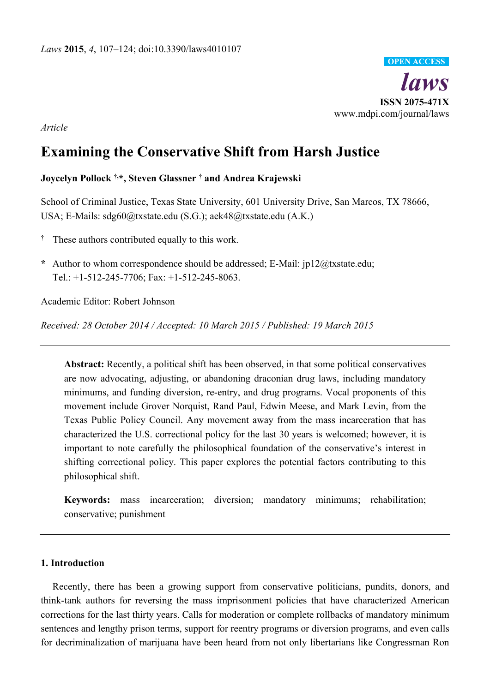

*Article* 

# **Examining the Conservative Shift from Harsh Justice**

# **Joycelyn Pollock †,\*, Steven Glassner † and Andrea Krajewski**

School of Criminal Justice, Texas State University, 601 University Drive, San Marcos, TX 78666, USA; E-Mails: sdg60@txstate.edu (S.G.); aek48@txstate.edu (A.K.)

- **†** These authors contributed equally to this work.
- **\*** Author to whom correspondence should be addressed; E-Mail: jp12@txstate.edu; Tel.: +1-512-245-7706; Fax: +1-512-245-8063.

Academic Editor: Robert Johnson

*Received: 28 October 2014 / Accepted: 10 March 2015 / Published: 19 March 2015* 

**Abstract:** Recently, a political shift has been observed, in that some political conservatives are now advocating, adjusting, or abandoning draconian drug laws, including mandatory minimums, and funding diversion, re-entry, and drug programs. Vocal proponents of this movement include Grover Norquist, Rand Paul, Edwin Meese, and Mark Levin, from the Texas Public Policy Council. Any movement away from the mass incarceration that has characterized the U.S. correctional policy for the last 30 years is welcomed; however, it is important to note carefully the philosophical foundation of the conservative's interest in shifting correctional policy. This paper explores the potential factors contributing to this philosophical shift.

**Keywords:** mass incarceration; diversion; mandatory minimums; rehabilitation; conservative; punishment

## **1. Introduction**

Recently, there has been a growing support from conservative politicians, pundits, donors, and think-tank authors for reversing the mass imprisonment policies that have characterized American corrections for the last thirty years. Calls for moderation or complete rollbacks of mandatory minimum sentences and lengthy prison terms, support for reentry programs or diversion programs, and even calls for decriminalization of marijuana have been heard from not only libertarians like Congressman Ron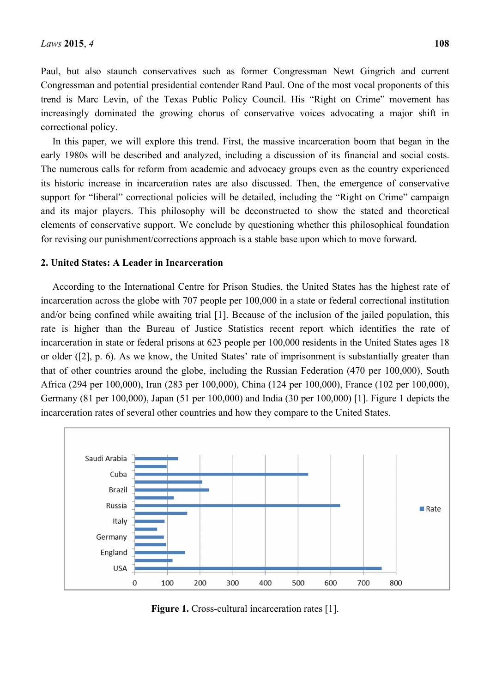Paul, but also staunch conservatives such as former Congressman Newt Gingrich and current Congressman and potential presidential contender Rand Paul. One of the most vocal proponents of this trend is Marc Levin, of the Texas Public Policy Council. His "Right on Crime" movement has increasingly dominated the growing chorus of conservative voices advocating a major shift in correctional policy.

In this paper, we will explore this trend. First, the massive incarceration boom that began in the early 1980s will be described and analyzed, including a discussion of its financial and social costs. The numerous calls for reform from academic and advocacy groups even as the country experienced its historic increase in incarceration rates are also discussed. Then, the emergence of conservative support for "liberal" correctional policies will be detailed, including the "Right on Crime" campaign and its major players. This philosophy will be deconstructed to show the stated and theoretical elements of conservative support. We conclude by questioning whether this philosophical foundation for revising our punishment/corrections approach is a stable base upon which to move forward.

#### **2. United States: A Leader in Incarceration**

According to the International Centre for Prison Studies, the United States has the highest rate of incarceration across the globe with 707 people per 100,000 in a state or federal correctional institution and/or being confined while awaiting trial [1]. Because of the inclusion of the jailed population, this rate is higher than the Bureau of Justice Statistics recent report which identifies the rate of incarceration in state or federal prisons at 623 people per 100,000 residents in the United States ages 18 or older ([2], p. 6). As we know, the United States' rate of imprisonment is substantially greater than that of other countries around the globe, including the Russian Federation (470 per 100,000), South Africa (294 per 100,000), Iran (283 per 100,000), China (124 per 100,000), France (102 per 100,000), Germany (81 per 100,000), Japan (51 per 100,000) and India (30 per 100,000) [1]. Figure 1 depicts the incarceration rates of several other countries and how they compare to the United States.



**Figure 1.** Cross-cultural incarceration rates [1].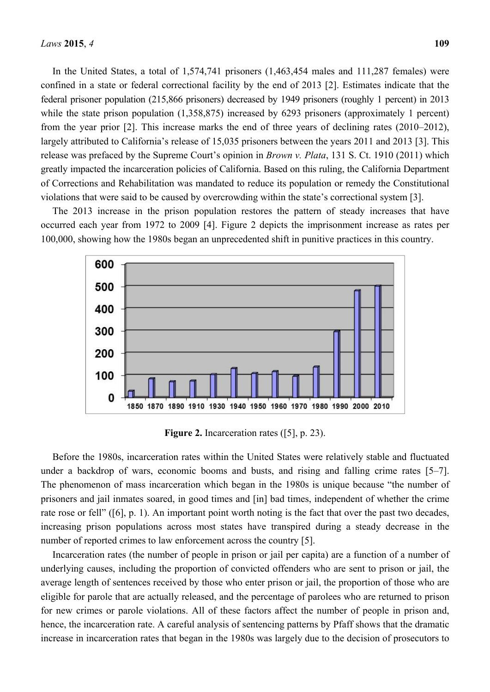In the United States, a total of 1,574,741 prisoners (1,463,454 males and 111,287 females) were confined in a state or federal correctional facility by the end of 2013 [2]. Estimates indicate that the federal prisoner population (215,866 prisoners) decreased by 1949 prisoners (roughly 1 percent) in 2013 while the state prison population (1,358,875) increased by 6293 prisoners (approximately 1 percent) from the year prior [2]. This increase marks the end of three years of declining rates (2010–2012), largely attributed to California's release of 15,035 prisoners between the years 2011 and 2013 [3]. This release was prefaced by the Supreme Court's opinion in *Brown v. Plata*, 131 S. Ct. 1910 (2011) which greatly impacted the incarceration policies of California. Based on this ruling, the California Department of Corrections and Rehabilitation was mandated to reduce its population or remedy the Constitutional violations that were said to be caused by overcrowding within the state's correctional system [3].

The 2013 increase in the prison population restores the pattern of steady increases that have occurred each year from 1972 to 2009 [4]. Figure 2 depicts the imprisonment increase as rates per 100,000, showing how the 1980s began an unprecedented shift in punitive practices in this country.



**Figure 2.** Incarceration rates ([5], p. 23).

Before the 1980s, incarceration rates within the United States were relatively stable and fluctuated under a backdrop of wars, economic booms and busts, and rising and falling crime rates [5–7]. The phenomenon of mass incarceration which began in the 1980s is unique because "the number of prisoners and jail inmates soared, in good times and [in] bad times, independent of whether the crime rate rose or fell" ([6], p. 1). An important point worth noting is the fact that over the past two decades, increasing prison populations across most states have transpired during a steady decrease in the number of reported crimes to law enforcement across the country [5].

Incarceration rates (the number of people in prison or jail per capita) are a function of a number of underlying causes, including the proportion of convicted offenders who are sent to prison or jail, the average length of sentences received by those who enter prison or jail, the proportion of those who are eligible for parole that are actually released, and the percentage of parolees who are returned to prison for new crimes or parole violations. All of these factors affect the number of people in prison and, hence, the incarceration rate. A careful analysis of sentencing patterns by Pfaff shows that the dramatic increase in incarceration rates that began in the 1980s was largely due to the decision of prosecutors to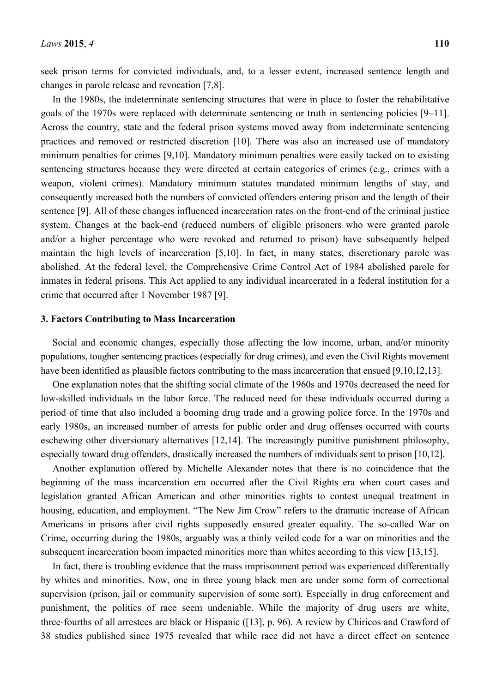seek prison terms for convicted individuals, and, to a lesser extent, increased sentence length and changes in parole release and revocation [7,8].

In the 1980s, the indeterminate sentencing structures that were in place to foster the rehabilitative goals of the 1970s were replaced with determinate sentencing or truth in sentencing policies [9–11]. Across the country, state and the federal prison systems moved away from indeterminate sentencing practices and removed or restricted discretion [10]. There was also an increased use of mandatory minimum penalties for crimes [9,10]. Mandatory minimum penalties were easily tacked on to existing sentencing structures because they were directed at certain categories of crimes (e.g., crimes with a weapon, violent crimes). Mandatory minimum statutes mandated minimum lengths of stay, and consequently increased both the numbers of convicted offenders entering prison and the length of their sentence [9]. All of these changes influenced incarceration rates on the front-end of the criminal justice system. Changes at the back-end (reduced numbers of eligible prisoners who were granted parole and/or a higher percentage who were revoked and returned to prison) have subsequently helped maintain the high levels of incarceration [5,10]. In fact, in many states, discretionary parole was abolished. At the federal level, the Comprehensive Crime Control Act of 1984 abolished parole for inmates in federal prisons. This Act applied to any individual incarcerated in a federal institution for a crime that occurred after 1 November 1987 [9].

## **3. Factors Contributing to Mass Incarceration**

Social and economic changes, especially those affecting the low income, urban, and/or minority populations, tougher sentencing practices (especially for drug crimes), and even the Civil Rights movement have been identified as plausible factors contributing to the mass incarceration that ensued [9,10,12,13].

One explanation notes that the shifting social climate of the 1960s and 1970s decreased the need for low-skilled individuals in the labor force. The reduced need for these individuals occurred during a period of time that also included a booming drug trade and a growing police force. In the 1970s and early 1980s, an increased number of arrests for public order and drug offenses occurred with courts eschewing other diversionary alternatives [12,14]. The increasingly punitive punishment philosophy, especially toward drug offenders, drastically increased the numbers of individuals sent to prison [10,12].

Another explanation offered by Michelle Alexander notes that there is no coincidence that the beginning of the mass incarceration era occurred after the Civil Rights era when court cases and legislation granted African American and other minorities rights to contest unequal treatment in housing, education, and employment. "The New Jim Crow" refers to the dramatic increase of African Americans in prisons after civil rights supposedly ensured greater equality. The so-called War on Crime, occurring during the 1980s, arguably was a thinly veiled code for a war on minorities and the subsequent incarceration boom impacted minorities more than whites according to this view [13,15].

In fact, there is troubling evidence that the mass imprisonment period was experienced differentially by whites and minorities. Now, one in three young black men are under some form of correctional supervision (prison, jail or community supervision of some sort). Especially in drug enforcement and punishment, the politics of race seem undeniable. While the majority of drug users are white, three-fourths of all arrestees are black or Hispanic ([13], p. 96). A review by Chiricos and Crawford of 38 studies published since 1975 revealed that while race did not have a direct effect on sentence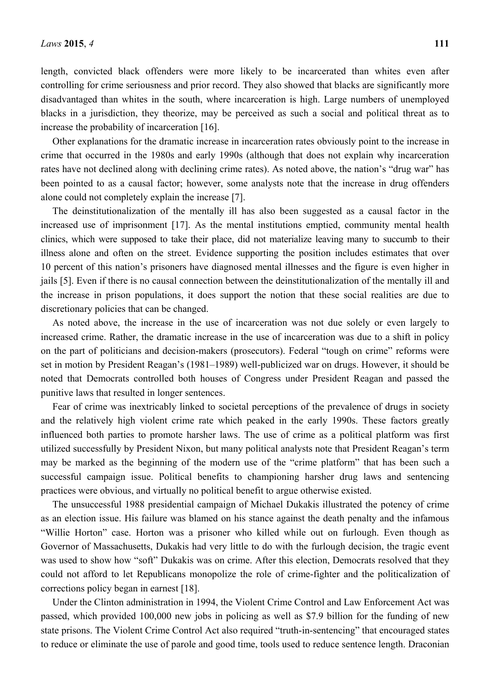length, convicted black offenders were more likely to be incarcerated than whites even after controlling for crime seriousness and prior record. They also showed that blacks are significantly more disadvantaged than whites in the south, where incarceration is high. Large numbers of unemployed blacks in a jurisdiction, they theorize, may be perceived as such a social and political threat as to increase the probability of incarceration [16].

Other explanations for the dramatic increase in incarceration rates obviously point to the increase in crime that occurred in the 1980s and early 1990s (although that does not explain why incarceration rates have not declined along with declining crime rates). As noted above, the nation's "drug war" has been pointed to as a causal factor; however, some analysts note that the increase in drug offenders alone could not completely explain the increase [7].

The deinstitutionalization of the mentally ill has also been suggested as a causal factor in the increased use of imprisonment [17]. As the mental institutions emptied, community mental health clinics, which were supposed to take their place, did not materialize leaving many to succumb to their illness alone and often on the street. Evidence supporting the position includes estimates that over 10 percent of this nation's prisoners have diagnosed mental illnesses and the figure is even higher in jails [5]. Even if there is no causal connection between the deinstitutionalization of the mentally ill and the increase in prison populations, it does support the notion that these social realities are due to discretionary policies that can be changed.

As noted above, the increase in the use of incarceration was not due solely or even largely to increased crime. Rather, the dramatic increase in the use of incarceration was due to a shift in policy on the part of politicians and decision-makers (prosecutors). Federal "tough on crime" reforms were set in motion by President Reagan's (1981–1989) well-publicized war on drugs. However, it should be noted that Democrats controlled both houses of Congress under President Reagan and passed the punitive laws that resulted in longer sentences.

Fear of crime was inextricably linked to societal perceptions of the prevalence of drugs in society and the relatively high violent crime rate which peaked in the early 1990s. These factors greatly influenced both parties to promote harsher laws. The use of crime as a political platform was first utilized successfully by President Nixon, but many political analysts note that President Reagan's term may be marked as the beginning of the modern use of the "crime platform" that has been such a successful campaign issue. Political benefits to championing harsher drug laws and sentencing practices were obvious, and virtually no political benefit to argue otherwise existed.

The unsuccessful 1988 presidential campaign of Michael Dukakis illustrated the potency of crime as an election issue. His failure was blamed on his stance against the death penalty and the infamous "Willie Horton" case. Horton was a prisoner who killed while out on furlough. Even though as Governor of Massachusetts, Dukakis had very little to do with the furlough decision, the tragic event was used to show how "soft" Dukakis was on crime. After this election, Democrats resolved that they could not afford to let Republicans monopolize the role of crime-fighter and the politicalization of corrections policy began in earnest [18].

Under the Clinton administration in 1994, the Violent Crime Control and Law Enforcement Act was passed, which provided 100,000 new jobs in policing as well as \$7.9 billion for the funding of new state prisons. The Violent Crime Control Act also required "truth-in-sentencing" that encouraged states to reduce or eliminate the use of parole and good time, tools used to reduce sentence length. Draconian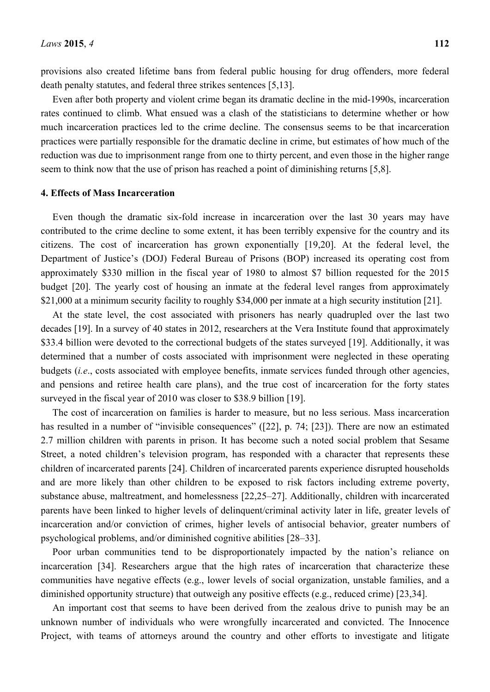provisions also created lifetime bans from federal public housing for drug offenders, more federal death penalty statutes, and federal three strikes sentences [5,13].

Even after both property and violent crime began its dramatic decline in the mid-1990s, incarceration rates continued to climb. What ensued was a clash of the statisticians to determine whether or how much incarceration practices led to the crime decline. The consensus seems to be that incarceration practices were partially responsible for the dramatic decline in crime, but estimates of how much of the reduction was due to imprisonment range from one to thirty percent, and even those in the higher range seem to think now that the use of prison has reached a point of diminishing returns [5,8].

#### **4. Effects of Mass Incarceration**

Even though the dramatic six-fold increase in incarceration over the last 30 years may have contributed to the crime decline to some extent, it has been terribly expensive for the country and its citizens. The cost of incarceration has grown exponentially [19,20]. At the federal level, the Department of Justice's (DOJ) Federal Bureau of Prisons (BOP) increased its operating cost from approximately \$330 million in the fiscal year of 1980 to almost \$7 billion requested for the 2015 budget [20]. The yearly cost of housing an inmate at the federal level ranges from approximately \$21,000 at a minimum security facility to roughly \$34,000 per inmate at a high security institution [21].

At the state level, the cost associated with prisoners has nearly quadrupled over the last two decades [19]. In a survey of 40 states in 2012, researchers at the Vera Institute found that approximately \$33.4 billion were devoted to the correctional budgets of the states surveyed [19]. Additionally, it was determined that a number of costs associated with imprisonment were neglected in these operating budgets (*i.e*., costs associated with employee benefits, inmate services funded through other agencies, and pensions and retiree health care plans), and the true cost of incarceration for the forty states surveyed in the fiscal year of 2010 was closer to \$38.9 billion [19].

The cost of incarceration on families is harder to measure, but no less serious. Mass incarceration has resulted in a number of "invisible consequences" ([22], p. 74; [23]). There are now an estimated 2.7 million children with parents in prison. It has become such a noted social problem that Sesame Street, a noted children's television program, has responded with a character that represents these children of incarcerated parents [24]. Children of incarcerated parents experience disrupted households and are more likely than other children to be exposed to risk factors including extreme poverty, substance abuse, maltreatment, and homelessness [22,25–27]. Additionally, children with incarcerated parents have been linked to higher levels of delinquent/criminal activity later in life, greater levels of incarceration and/or conviction of crimes, higher levels of antisocial behavior, greater numbers of psychological problems, and/or diminished cognitive abilities [28–33].

Poor urban communities tend to be disproportionately impacted by the nation's reliance on incarceration [34]. Researchers argue that the high rates of incarceration that characterize these communities have negative effects (e.g., lower levels of social organization, unstable families, and a diminished opportunity structure) that outweigh any positive effects (e.g., reduced crime) [23,34].

An important cost that seems to have been derived from the zealous drive to punish may be an unknown number of individuals who were wrongfully incarcerated and convicted. The Innocence Project, with teams of attorneys around the country and other efforts to investigate and litigate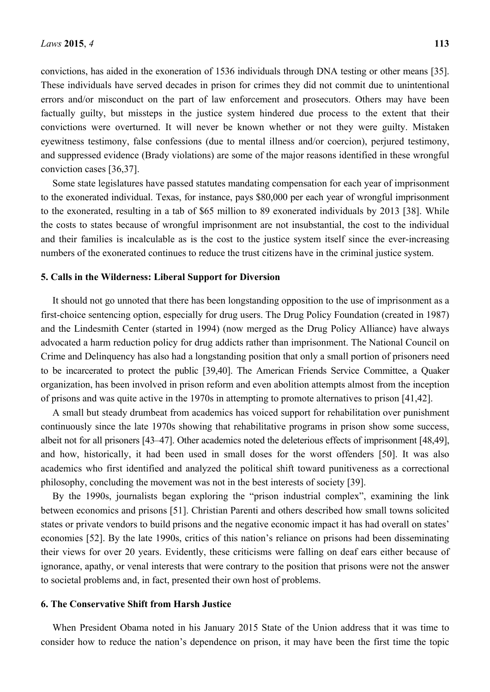convictions, has aided in the exoneration of 1536 individuals through DNA testing or other means [35]. These individuals have served decades in prison for crimes they did not commit due to unintentional errors and/or misconduct on the part of law enforcement and prosecutors. Others may have been factually guilty, but missteps in the justice system hindered due process to the extent that their convictions were overturned. It will never be known whether or not they were guilty. Mistaken eyewitness testimony, false confessions (due to mental illness and/or coercion), perjured testimony, and suppressed evidence (Brady violations) are some of the major reasons identified in these wrongful conviction cases [36,37].

Some state legislatures have passed statutes mandating compensation for each year of imprisonment to the exonerated individual. Texas, for instance, pays \$80,000 per each year of wrongful imprisonment to the exonerated, resulting in a tab of \$65 million to 89 exonerated individuals by 2013 [38]. While the costs to states because of wrongful imprisonment are not insubstantial, the cost to the individual and their families is incalculable as is the cost to the justice system itself since the ever-increasing numbers of the exonerated continues to reduce the trust citizens have in the criminal justice system.

#### **5. Calls in the Wilderness: Liberal Support for Diversion**

It should not go unnoted that there has been longstanding opposition to the use of imprisonment as a first-choice sentencing option, especially for drug users. The Drug Policy Foundation (created in 1987) and the Lindesmith Center (started in 1994) (now merged as the Drug Policy Alliance) have always advocated a harm reduction policy for drug addicts rather than imprisonment. The National Council on Crime and Delinquency has also had a longstanding position that only a small portion of prisoners need to be incarcerated to protect the public [39,40]. The American Friends Service Committee, a Quaker organization, has been involved in prison reform and even abolition attempts almost from the inception of prisons and was quite active in the 1970s in attempting to promote alternatives to prison [41,42].

A small but steady drumbeat from academics has voiced support for rehabilitation over punishment continuously since the late 1970s showing that rehabilitative programs in prison show some success, albeit not for all prisoners [43–47]. Other academics noted the deleterious effects of imprisonment [48,49], and how, historically, it had been used in small doses for the worst offenders [50]. It was also academics who first identified and analyzed the political shift toward punitiveness as a correctional philosophy, concluding the movement was not in the best interests of society [39].

By the 1990s, journalists began exploring the "prison industrial complex", examining the link between economics and prisons [51]. Christian Parenti and others described how small towns solicited states or private vendors to build prisons and the negative economic impact it has had overall on states' economies [52]. By the late 1990s, critics of this nation's reliance on prisons had been disseminating their views for over 20 years. Evidently, these criticisms were falling on deaf ears either because of ignorance, apathy, or venal interests that were contrary to the position that prisons were not the answer to societal problems and, in fact, presented their own host of problems.

#### **6. The Conservative Shift from Harsh Justice**

When President Obama noted in his January 2015 State of the Union address that it was time to consider how to reduce the nation's dependence on prison, it may have been the first time the topic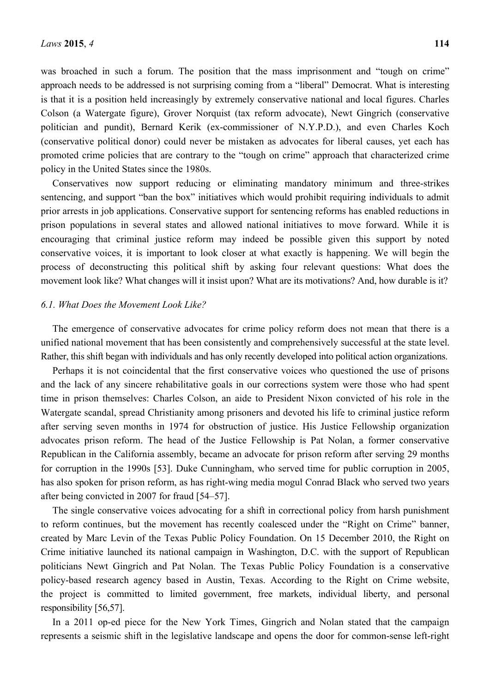was broached in such a forum. The position that the mass imprisonment and "tough on crime" approach needs to be addressed is not surprising coming from a "liberal" Democrat. What is interesting is that it is a position held increasingly by extremely conservative national and local figures. Charles Colson (a Watergate figure), Grover Norquist (tax reform advocate), Newt Gingrich (conservative politician and pundit), Bernard Kerik (ex-commissioner of N.Y.P.D.), and even Charles Koch (conservative political donor) could never be mistaken as advocates for liberal causes, yet each has promoted crime policies that are contrary to the "tough on crime" approach that characterized crime policy in the United States since the 1980s.

Conservatives now support reducing or eliminating mandatory minimum and three-strikes sentencing, and support "ban the box" initiatives which would prohibit requiring individuals to admit prior arrests in job applications. Conservative support for sentencing reforms has enabled reductions in prison populations in several states and allowed national initiatives to move forward. While it is encouraging that criminal justice reform may indeed be possible given this support by noted conservative voices, it is important to look closer at what exactly is happening. We will begin the process of deconstructing this political shift by asking four relevant questions: What does the movement look like? What changes will it insist upon? What are its motivations? And, how durable is it?

#### *6.1. What Does the Movement Look Like?*

The emergence of conservative advocates for crime policy reform does not mean that there is a unified national movement that has been consistently and comprehensively successful at the state level. Rather, this shift began with individuals and has only recently developed into political action organizations.

Perhaps it is not coincidental that the first conservative voices who questioned the use of prisons and the lack of any sincere rehabilitative goals in our corrections system were those who had spent time in prison themselves: Charles Colson, an aide to President Nixon convicted of his role in the Watergate scandal, spread Christianity among prisoners and devoted his life to criminal justice reform after serving seven months in 1974 for obstruction of justice. His Justice Fellowship organization advocates prison reform. The head of the Justice Fellowship is Pat Nolan, a former conservative Republican in the California assembly, became an advocate for prison reform after serving 29 months for corruption in the 1990s [53]. Duke Cunningham, who served time for public corruption in 2005, has also spoken for prison reform, as has right-wing media mogul Conrad Black who served two years after being convicted in 2007 for fraud [54–57].

The single conservative voices advocating for a shift in correctional policy from harsh punishment to reform continues, but the movement has recently coalesced under the "Right on Crime" banner, created by Marc Levin of the Texas Public Policy Foundation. On 15 December 2010, the Right on Crime initiative launched its national campaign in Washington, D.C. with the support of Republican politicians Newt Gingrich and Pat Nolan. The Texas Public Policy Foundation is a conservative policy-based research agency based in Austin, Texas. According to the Right on Crime website, the project is committed to limited government, free markets, individual liberty, and personal responsibility [56,57].

In a 2011 op-ed piece for the New York Times, Gingrich and Nolan stated that the campaign represents a seismic shift in the legislative landscape and opens the door for common-sense left-right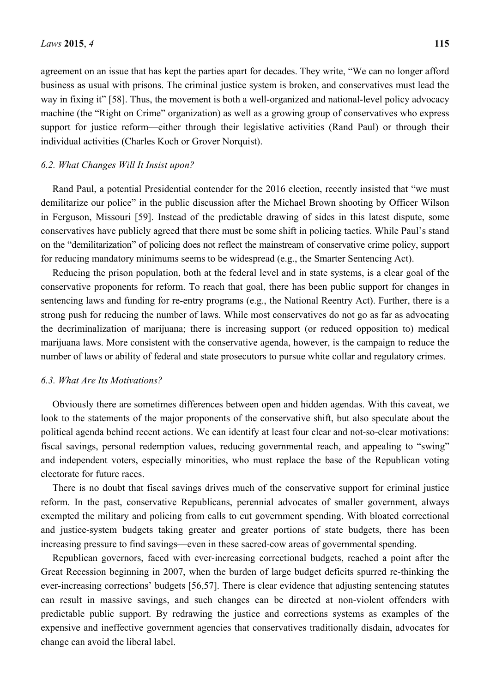agreement on an issue that has kept the parties apart for decades. They write, "We can no longer afford business as usual with prisons. The criminal justice system is broken, and conservatives must lead the way in fixing it" [58]. Thus, the movement is both a well-organized and national-level policy advocacy machine (the "Right on Crime" organization) as well as a growing group of conservatives who express support for justice reform—either through their legislative activities (Rand Paul) or through their individual activities (Charles Koch or Grover Norquist).

#### *6.2. What Changes Will It Insist upon?*

Rand Paul, a potential Presidential contender for the 2016 election, recently insisted that "we must demilitarize our police" in the public discussion after the Michael Brown shooting by Officer Wilson in Ferguson, Missouri [59]. Instead of the predictable drawing of sides in this latest dispute, some conservatives have publicly agreed that there must be some shift in policing tactics. While Paul's stand on the "demilitarization" of policing does not reflect the mainstream of conservative crime policy, support for reducing mandatory minimums seems to be widespread (e.g., the Smarter Sentencing Act).

Reducing the prison population, both at the federal level and in state systems, is a clear goal of the conservative proponents for reform. To reach that goal, there has been public support for changes in sentencing laws and funding for re-entry programs (e.g., the National Reentry Act). Further, there is a strong push for reducing the number of laws. While most conservatives do not go as far as advocating the decriminalization of marijuana; there is increasing support (or reduced opposition to) medical marijuana laws. More consistent with the conservative agenda, however, is the campaign to reduce the number of laws or ability of federal and state prosecutors to pursue white collar and regulatory crimes.

#### *6.3. What Are Its Motivations?*

Obviously there are sometimes differences between open and hidden agendas. With this caveat, we look to the statements of the major proponents of the conservative shift, but also speculate about the political agenda behind recent actions. We can identify at least four clear and not-so-clear motivations: fiscal savings, personal redemption values, reducing governmental reach, and appealing to "swing" and independent voters, especially minorities, who must replace the base of the Republican voting electorate for future races.

There is no doubt that fiscal savings drives much of the conservative support for criminal justice reform. In the past, conservative Republicans, perennial advocates of smaller government, always exempted the military and policing from calls to cut government spending. With bloated correctional and justice-system budgets taking greater and greater portions of state budgets, there has been increasing pressure to find savings—even in these sacred-cow areas of governmental spending.

Republican governors, faced with ever-increasing correctional budgets, reached a point after the Great Recession beginning in 2007, when the burden of large budget deficits spurred re-thinking the ever-increasing corrections' budgets [56,57]. There is clear evidence that adjusting sentencing statutes can result in massive savings, and such changes can be directed at non-violent offenders with predictable public support. By redrawing the justice and corrections systems as examples of the expensive and ineffective government agencies that conservatives traditionally disdain, advocates for change can avoid the liberal label.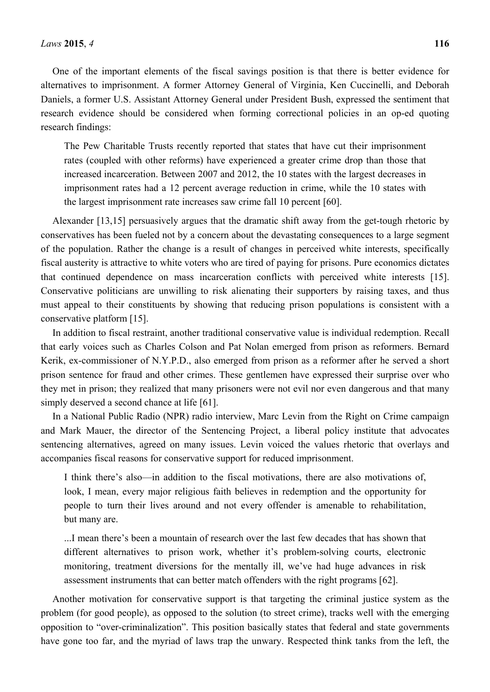One of the important elements of the fiscal savings position is that there is better evidence for alternatives to imprisonment. A former Attorney General of Virginia, Ken Cuccinelli, and Deborah Daniels, a former U.S. Assistant Attorney General under President Bush, expressed the sentiment that research evidence should be considered when forming correctional policies in an op-ed quoting research findings:

The Pew Charitable Trusts recently reported that states that have cut their imprisonment rates (coupled with other reforms) have experienced a greater crime drop than those that increased incarceration. Between 2007 and 2012, the 10 states with the largest decreases in imprisonment rates had a 12 percent average reduction in crime, while the 10 states with the largest imprisonment rate increases saw crime fall 10 percent [60].

Alexander [13,15] persuasively argues that the dramatic shift away from the get-tough rhetoric by conservatives has been fueled not by a concern about the devastating consequences to a large segment of the population. Rather the change is a result of changes in perceived white interests, specifically fiscal austerity is attractive to white voters who are tired of paying for prisons. Pure economics dictates that continued dependence on mass incarceration conflicts with perceived white interests [15]. Conservative politicians are unwilling to risk alienating their supporters by raising taxes, and thus must appeal to their constituents by showing that reducing prison populations is consistent with a conservative platform [15].

In addition to fiscal restraint, another traditional conservative value is individual redemption. Recall that early voices such as Charles Colson and Pat Nolan emerged from prison as reformers. Bernard Kerik, ex-commissioner of N.Y.P.D., also emerged from prison as a reformer after he served a short prison sentence for fraud and other crimes. These gentlemen have expressed their surprise over who they met in prison; they realized that many prisoners were not evil nor even dangerous and that many simply deserved a second chance at life [61].

In a National Public Radio (NPR) radio interview, Marc Levin from the Right on Crime campaign and Mark Mauer, the director of the Sentencing Project, a liberal policy institute that advocates sentencing alternatives, agreed on many issues. Levin voiced the values rhetoric that overlays and accompanies fiscal reasons for conservative support for reduced imprisonment.

I think there's also—in addition to the fiscal motivations, there are also motivations of, look, I mean, every major religious faith believes in redemption and the opportunity for people to turn their lives around and not every offender is amenable to rehabilitation, but many are.

...I mean there's been a mountain of research over the last few decades that has shown that different alternatives to prison work, whether it's problem-solving courts, electronic monitoring, treatment diversions for the mentally ill, we've had huge advances in risk assessment instruments that can better match offenders with the right programs [62].

Another motivation for conservative support is that targeting the criminal justice system as the problem (for good people), as opposed to the solution (to street crime), tracks well with the emerging opposition to "over-criminalization". This position basically states that federal and state governments have gone too far, and the myriad of laws trap the unwary. Respected think tanks from the left, the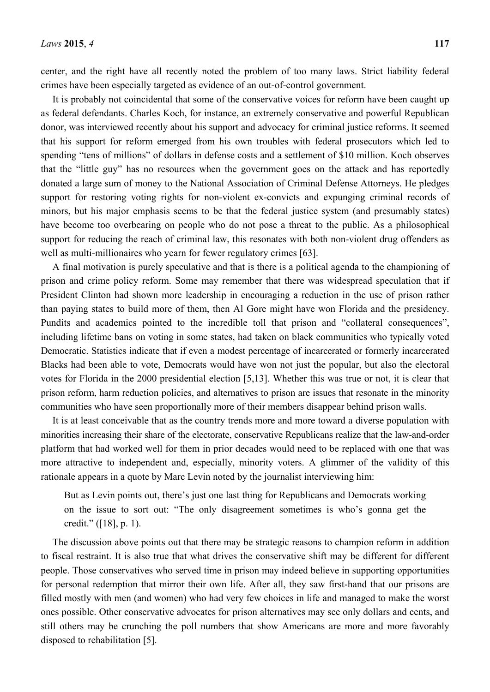center, and the right have all recently noted the problem of too many laws. Strict liability federal crimes have been especially targeted as evidence of an out-of-control government.

It is probably not coincidental that some of the conservative voices for reform have been caught up as federal defendants. Charles Koch, for instance, an extremely conservative and powerful Republican donor, was interviewed recently about his support and advocacy for criminal justice reforms. It seemed that his support for reform emerged from his own troubles with federal prosecutors which led to spending "tens of millions" of dollars in defense costs and a settlement of \$10 million. Koch observes that the "little guy" has no resources when the government goes on the attack and has reportedly donated a large sum of money to the National Association of Criminal Defense Attorneys. He pledges support for restoring voting rights for non-violent ex-convicts and expunging criminal records of minors, but his major emphasis seems to be that the federal justice system (and presumably states) have become too overbearing on people who do not pose a threat to the public. As a philosophical support for reducing the reach of criminal law, this resonates with both non-violent drug offenders as well as multi-millionaires who yearn for fewer regulatory crimes [63].

A final motivation is purely speculative and that is there is a political agenda to the championing of prison and crime policy reform. Some may remember that there was widespread speculation that if President Clinton had shown more leadership in encouraging a reduction in the use of prison rather than paying states to build more of them, then Al Gore might have won Florida and the presidency. Pundits and academics pointed to the incredible toll that prison and "collateral consequences", including lifetime bans on voting in some states, had taken on black communities who typically voted Democratic. Statistics indicate that if even a modest percentage of incarcerated or formerly incarcerated Blacks had been able to vote, Democrats would have won not just the popular, but also the electoral votes for Florida in the 2000 presidential election [5,13]. Whether this was true or not, it is clear that prison reform, harm reduction policies, and alternatives to prison are issues that resonate in the minority communities who have seen proportionally more of their members disappear behind prison walls.

It is at least conceivable that as the country trends more and more toward a diverse population with minorities increasing their share of the electorate, conservative Republicans realize that the law-and-order platform that had worked well for them in prior decades would need to be replaced with one that was more attractive to independent and, especially, minority voters. A glimmer of the validity of this rationale appears in a quote by Marc Levin noted by the journalist interviewing him:

But as Levin points out, there's just one last thing for Republicans and Democrats working on the issue to sort out: "The only disagreement sometimes is who's gonna get the credit." ([18], p. 1).

The discussion above points out that there may be strategic reasons to champion reform in addition to fiscal restraint. It is also true that what drives the conservative shift may be different for different people. Those conservatives who served time in prison may indeed believe in supporting opportunities for personal redemption that mirror their own life. After all, they saw first-hand that our prisons are filled mostly with men (and women) who had very few choices in life and managed to make the worst ones possible. Other conservative advocates for prison alternatives may see only dollars and cents, and still others may be crunching the poll numbers that show Americans are more and more favorably disposed to rehabilitation [5].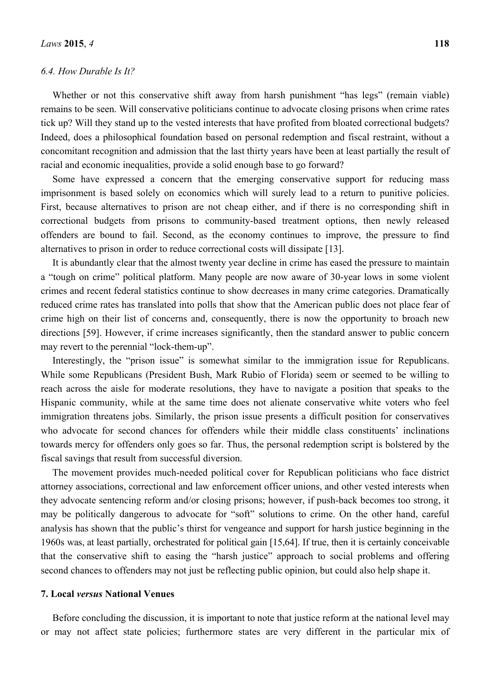## *6.4. How Durable Is It?*

Whether or not this conservative shift away from harsh punishment "has legs" (remain viable) remains to be seen. Will conservative politicians continue to advocate closing prisons when crime rates tick up? Will they stand up to the vested interests that have profited from bloated correctional budgets? Indeed, does a philosophical foundation based on personal redemption and fiscal restraint, without a concomitant recognition and admission that the last thirty years have been at least partially the result of racial and economic inequalities, provide a solid enough base to go forward?

Some have expressed a concern that the emerging conservative support for reducing mass imprisonment is based solely on economics which will surely lead to a return to punitive policies. First, because alternatives to prison are not cheap either, and if there is no corresponding shift in correctional budgets from prisons to community-based treatment options, then newly released offenders are bound to fail. Second, as the economy continues to improve, the pressure to find alternatives to prison in order to reduce correctional costs will dissipate [13].

It is abundantly clear that the almost twenty year decline in crime has eased the pressure to maintain a "tough on crime" political platform. Many people are now aware of 30-year lows in some violent crimes and recent federal statistics continue to show decreases in many crime categories. Dramatically reduced crime rates has translated into polls that show that the American public does not place fear of crime high on their list of concerns and, consequently, there is now the opportunity to broach new directions [59]. However, if crime increases significantly, then the standard answer to public concern may revert to the perennial "lock-them-up".

Interestingly, the "prison issue" is somewhat similar to the immigration issue for Republicans. While some Republicans (President Bush, Mark Rubio of Florida) seem or seemed to be willing to reach across the aisle for moderate resolutions, they have to navigate a position that speaks to the Hispanic community, while at the same time does not alienate conservative white voters who feel immigration threatens jobs. Similarly, the prison issue presents a difficult position for conservatives who advocate for second chances for offenders while their middle class constituents' inclinations towards mercy for offenders only goes so far. Thus, the personal redemption script is bolstered by the fiscal savings that result from successful diversion.

The movement provides much-needed political cover for Republican politicians who face district attorney associations, correctional and law enforcement officer unions, and other vested interests when they advocate sentencing reform and/or closing prisons; however, if push-back becomes too strong, it may be politically dangerous to advocate for "soft" solutions to crime. On the other hand, careful analysis has shown that the public's thirst for vengeance and support for harsh justice beginning in the 1960s was, at least partially, orchestrated for political gain [15,64]. If true, then it is certainly conceivable that the conservative shift to easing the "harsh justice" approach to social problems and offering second chances to offenders may not just be reflecting public opinion, but could also help shape it.

#### **7. Local** *versus* **National Venues**

Before concluding the discussion, it is important to note that justice reform at the national level may or may not affect state policies; furthermore states are very different in the particular mix of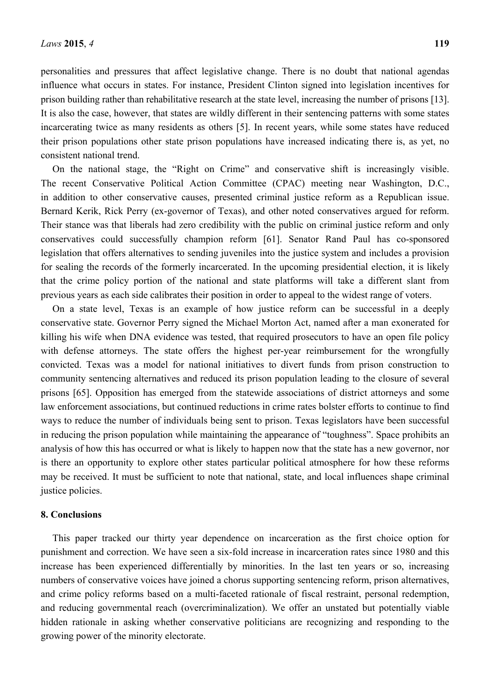personalities and pressures that affect legislative change. There is no doubt that national agendas influence what occurs in states. For instance, President Clinton signed into legislation incentives for prison building rather than rehabilitative research at the state level, increasing the number of prisons [13]. It is also the case, however, that states are wildly different in their sentencing patterns with some states incarcerating twice as many residents as others [5]. In recent years, while some states have reduced their prison populations other state prison populations have increased indicating there is, as yet, no consistent national trend.

On the national stage, the "Right on Crime" and conservative shift is increasingly visible. The recent Conservative Political Action Committee (CPAC) meeting near Washington, D.C., in addition to other conservative causes, presented criminal justice reform as a Republican issue. Bernard Kerik, Rick Perry (ex-governor of Texas), and other noted conservatives argued for reform. Their stance was that liberals had zero credibility with the public on criminal justice reform and only conservatives could successfully champion reform [61]. Senator Rand Paul has co-sponsored legislation that offers alternatives to sending juveniles into the justice system and includes a provision for sealing the records of the formerly incarcerated. In the upcoming presidential election, it is likely that the crime policy portion of the national and state platforms will take a different slant from previous years as each side calibrates their position in order to appeal to the widest range of voters.

On a state level, Texas is an example of how justice reform can be successful in a deeply conservative state. Governor Perry signed the Michael Morton Act, named after a man exonerated for killing his wife when DNA evidence was tested, that required prosecutors to have an open file policy with defense attorneys. The state offers the highest per-year reimbursement for the wrongfully convicted. Texas was a model for national initiatives to divert funds from prison construction to community sentencing alternatives and reduced its prison population leading to the closure of several prisons [65]. Opposition has emerged from the statewide associations of district attorneys and some law enforcement associations, but continued reductions in crime rates bolster efforts to continue to find ways to reduce the number of individuals being sent to prison. Texas legislators have been successful in reducing the prison population while maintaining the appearance of "toughness". Space prohibits an analysis of how this has occurred or what is likely to happen now that the state has a new governor, nor is there an opportunity to explore other states particular political atmosphere for how these reforms may be received. It must be sufficient to note that national, state, and local influences shape criminal justice policies.

#### **8. Conclusions**

This paper tracked our thirty year dependence on incarceration as the first choice option for punishment and correction. We have seen a six-fold increase in incarceration rates since 1980 and this increase has been experienced differentially by minorities. In the last ten years or so, increasing numbers of conservative voices have joined a chorus supporting sentencing reform, prison alternatives, and crime policy reforms based on a multi-faceted rationale of fiscal restraint, personal redemption, and reducing governmental reach (overcriminalization). We offer an unstated but potentially viable hidden rationale in asking whether conservative politicians are recognizing and responding to the growing power of the minority electorate.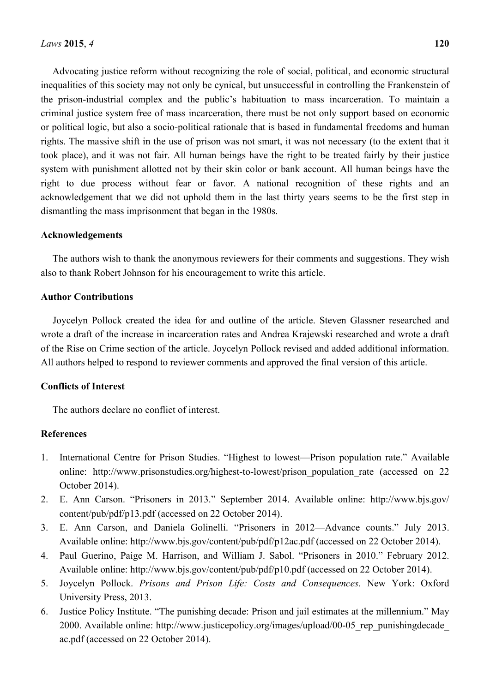inequalities of this society may not only be cynical, but unsuccessful in controlling the Frankenstein of the prison-industrial complex and the public's habituation to mass incarceration. To maintain a criminal justice system free of mass incarceration, there must be not only support based on economic or political logic, but also a socio-political rationale that is based in fundamental freedoms and human rights. The massive shift in the use of prison was not smart, it was not necessary (to the extent that it took place), and it was not fair. All human beings have the right to be treated fairly by their justice system with punishment allotted not by their skin color or bank account. All human beings have the right to due process without fear or favor. A national recognition of these rights and an acknowledgement that we did not uphold them in the last thirty years seems to be the first step in dismantling the mass imprisonment that began in the 1980s.

## **Acknowledgements**

The authors wish to thank the anonymous reviewers for their comments and suggestions. They wish also to thank Robert Johnson for his encouragement to write this article.

## **Author Contributions**

Joycelyn Pollock created the idea for and outline of the article. Steven Glassner researched and wrote a draft of the increase in incarceration rates and Andrea Krajewski researched and wrote a draft of the Rise on Crime section of the article. Joycelyn Pollock revised and added additional information. All authors helped to respond to reviewer comments and approved the final version of this article.

# **Conflicts of Interest**

The authors declare no conflict of interest.

# **References**

- 1. International Centre for Prison Studies. "Highest to lowest—Prison population rate." Available online: http://www.prisonstudies.org/highest-to-lowest/prison population rate (accessed on 22 October 2014).
- 2. E. Ann Carson. "Prisoners in 2013." September 2014. Available online: http://www.bjs.gov/ content/pub/pdf/p13.pdf (accessed on 22 October 2014).
- 3. E. Ann Carson, and Daniela Golinelli. "Prisoners in 2012—Advance counts." July 2013. Available online: http://www.bjs.gov/content/pub/pdf/p12ac.pdf (accessed on 22 October 2014).
- 4. Paul Guerino, Paige M. Harrison, and William J. Sabol. "Prisoners in 2010." February 2012. Available online: http://www.bjs.gov/content/pub/pdf/p10.pdf (accessed on 22 October 2014).
- 5. Joycelyn Pollock. *Prisons and Prison Life: Costs and Consequences.* New York: Oxford University Press, 2013.
- 6. Justice Policy Institute. "The punishing decade: Prison and jail estimates at the millennium." May 2000. Available online: http://www.justicepolicy.org/images/upload/00-05\_rep\_punishingdecade\_ ac.pdf (accessed on 22 October 2014).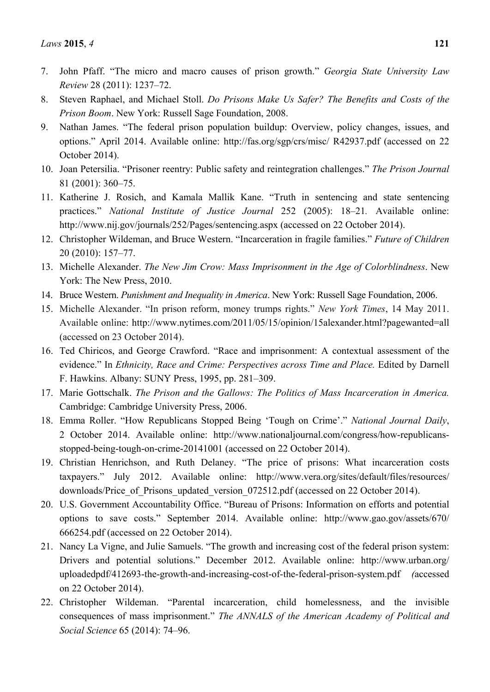- 7. John Pfaff. "The micro and macro causes of prison growth." *Georgia State University Law Review* 28 (2011): 1237–72.
- 8. Steven Raphael, and Michael Stoll. *Do Prisons Make Us Safer? The Benefits and Costs of the Prison Boom*. New York: Russell Sage Foundation, 2008.
- 9. Nathan James. "The federal prison population buildup: Overview, policy changes, issues, and options." April 2014. Available online: http://fas.org/sgp/crs/misc/ R42937.pdf (accessed on 22 October 2014).
- 10. Joan Petersilia. "Prisoner reentry: Public safety and reintegration challenges." *The Prison Journal*  81 (2001): 360–75.
- 11. Katherine J. Rosich, and Kamala Mallik Kane. "Truth in sentencing and state sentencing practices." *National Institute of Justice Journal* 252 (2005): 18–21*.* Available online: http://www.nij.gov/journals/252/Pages/sentencing.aspx (accessed on 22 October 2014).
- 12. Christopher Wildeman, and Bruce Western. "Incarceration in fragile families." *Future of Children*  20 (2010): 157–77.
- 13. Michelle Alexander. *The New Jim Crow: Mass Imprisonment in the Age of Colorblindness*. New York: The New Press, 2010.
- 14. Bruce Western. *Punishment and Inequality in America*. New York: Russell Sage Foundation, 2006.
- 15. Michelle Alexander. "In prison reform, money trumps rights." *New York Times*, 14 May 2011. Available online: http://www.nytimes.com/2011/05/15/opinion/15alexander.html?pagewanted=all (accessed on 23 October 2014).
- 16. Ted Chiricos, and George Crawford. "Race and imprisonment: A contextual assessment of the evidence." In *Ethnicity, Race and Crime: Perspectives across Time and Place. Edited by Darnell* F. Hawkins. Albany: SUNY Press, 1995, pp. 281–309.
- 17. Marie Gottschalk. *The Prison and the Gallows: The Politics of Mass Incarceration in America.*  Cambridge: Cambridge University Press, 2006.
- 18. Emma Roller. "How Republicans Stopped Being 'Tough on Crime'." *National Journal Daily*, 2 October 2014. Available online: http://www.nationaljournal.com/congress/how-republicansstopped-being-tough-on-crime-20141001 (accessed on 22 October 2014).
- 19. Christian Henrichson, and Ruth Delaney. "The price of prisons: What incarceration costs taxpayers." July 2012. Available online: http://www.vera.org/sites/default/files/resources/ downloads/Price\_of\_Prisons\_updated\_version\_072512.pdf (accessed on 22 October 2014).
- 20. U.S. Government Accountability Office. "Bureau of Prisons: Information on efforts and potential options to save costs." September 2014. Available online: http://www.gao.gov/assets/670/ 666254.pdf (accessed on 22 October 2014).
- 21. Nancy La Vigne, and Julie Samuels. "The growth and increasing cost of the federal prison system: Drivers and potential solutions." December 2012. Available online: http://www.urban.org/ uploadedpdf/412693-the-growth-and-increasing-cost-of-the-federal-prison-system.pdf *(*accessed on 22 October 2014).
- 22. Christopher Wildeman. "Parental incarceration, child homelessness, and the invisible consequences of mass imprisonment." *The ANNALS of the American Academy of Political and Social Science* 65 (2014): 74–96.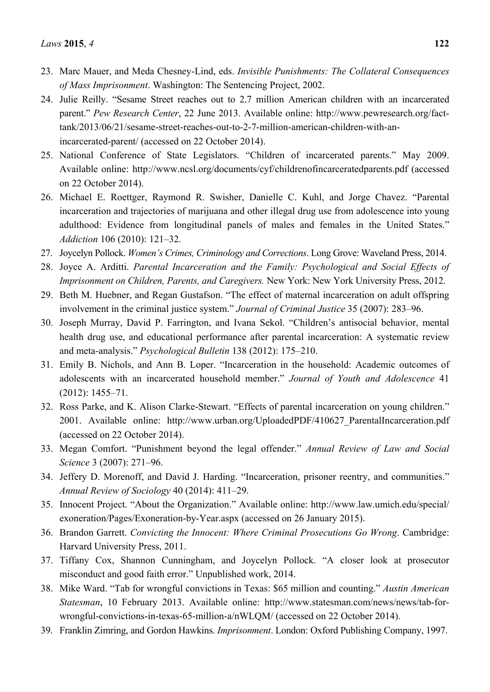- 23. Marc Mauer, and Meda Chesney-Lind, eds. *Invisible Punishments: The Collateral Consequences of Mass Imprisonment*. Washington: The Sentencing Project, 2002.
- 24. Julie Reilly. "Sesame Street reaches out to 2.7 million American children with an incarcerated parent." *Pew Research Center*, 22 June 2013. Available online: http://www.pewresearch.org/facttank/2013/06/21/sesame-street-reaches-out-to-2-7-million-american-children-with-anincarcerated-parent/ (accessed on 22 October 2014).
- 25. National Conference of State Legislators. "Children of incarcerated parents." May 2009. Available online: http://www.ncsl.org/documents/cyf/childrenofincarceratedparents.pdf (accessed on 22 October 2014).
- 26. Michael E. Roettger, Raymond R. Swisher, Danielle C. Kuhl, and Jorge Chavez. "Parental incarceration and trajectories of marijuana and other illegal drug use from adolescence into young adulthood: Evidence from longitudinal panels of males and females in the United States." *Addiction* 106 (2010): 121–32.
- 27. Joycelyn Pollock. *Women's Crimes, Criminology and Corrections*. Long Grove: Waveland Press, 2014.
- 28. Joyce A. Arditti. *Parental Incarceration and the Family: Psychological and Social Effects of Imprisonment on Children, Parents, and Caregivers.* New York: New York University Press, 2012.
- 29. Beth M. Huebner, and Regan Gustafson. "The effect of maternal incarceration on adult offspring involvement in the criminal justice system." *Journal of Criminal Justice* 35 (2007): 283–96.
- 30. Joseph Murray, David P. Farrington, and Ivana Sekol. "Children's antisocial behavior, mental health drug use, and educational performance after parental incarceration: A systematic review and meta-analysis." *Psychological Bulletin* 138 (2012): 175–210.
- 31. Emily B. Nichols, and Ann B. Loper. "Incarceration in the household: Academic outcomes of adolescents with an incarcerated household member." *Journal of Youth and Adolescence* 41 (2012): 1455–71.
- 32. Ross Parke, and K. Alison Clarke-Stewart. "Effects of parental incarceration on young children." 2001. Available online: http://www.urban.org/UploadedPDF/410627\_ParentalIncarceration.pdf (accessed on 22 October 2014).
- 33. Megan Comfort. "Punishment beyond the legal offender." *Annual Review of Law and Social Science* 3 (2007): 271–96.
- 34. Jeffery D. Morenoff, and David J. Harding. "Incarceration, prisoner reentry, and communities." *Annual Review of Sociology* 40 (2014): 411–29.
- 35. Innocent Project. "About the Organization." Available online: http://www.law.umich.edu/special/ exoneration/Pages/Exoneration-by-Year.aspx (accessed on 26 January 2015).
- 36. Brandon Garrett. *Convicting the Innocent: Where Criminal Prosecutions Go Wrong*. Cambridge: Harvard University Press, 2011.
- 37. Tiffany Cox, Shannon Cunningham, and Joycelyn Pollock. "A closer look at prosecutor misconduct and good faith error." Unpublished work, 2014.
- 38. Mike Ward. "Tab for wrongful convictions in Texas: \$65 million and counting." *Austin American Statesman*, 10 February 2013. Available online: http://www.statesman.com/news/news/tab-forwrongful-convictions-in-texas-65-million-a/nWLQM/ (accessed on 22 October 2014).
- 39. Franklin Zimring, and Gordon Hawkins. *Imprisonment*. London: Oxford Publishing Company, 1997.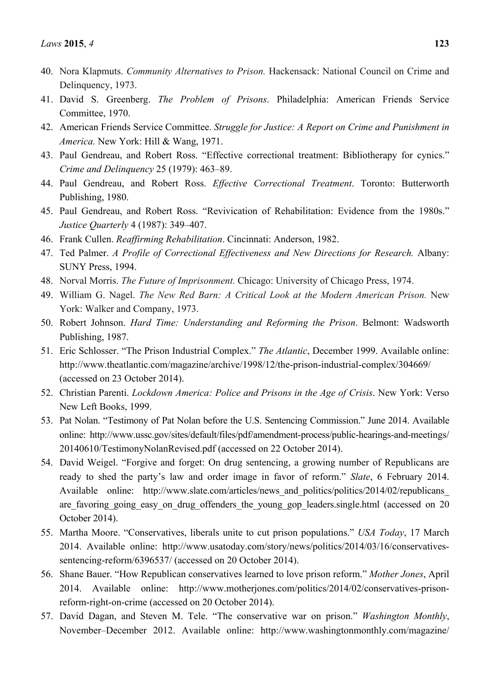- 40. Nora Klapmuts. *Community Alternatives to Prison.* Hackensack: National Council on Crime and Delinquency, 1973.
- 41. David S. Greenberg. *The Problem of Prisons*. Philadelphia: American Friends Service Committee, 1970.
- 42. American Friends Service Committee. *Struggle for Justice: A Report on Crime and Punishment in America.* New York: Hill & Wang, 1971.
- 43. Paul Gendreau, and Robert Ross. "Effective correctional treatment: Bibliotherapy for cynics." *Crime and Delinquency* 25 (1979): 463–89.
- 44. Paul Gendreau, and Robert Ross. *Effective Correctional Treatment*. Toronto: Butterworth Publishing, 1980.
- 45. Paul Gendreau, and Robert Ross. "Revivication of Rehabilitation: Evidence from the 1980s." *Justice Quarterly* 4 (1987): 349–407.
- 46. Frank Cullen. *Reaffirming Rehabilitation*. Cincinnati: Anderson, 1982.
- 47. Ted Palmer. *A Profile of Correctional Effectiveness and New Directions for Research.* Albany: SUNY Press, 1994.
- 48. Norval Morris. *The Future of Imprisonment.* Chicago: University of Chicago Press, 1974.
- 49. William G. Nagel. *The New Red Barn: A Critical Look at the Modern American Prison.* New York: Walker and Company, 1973.
- 50. Robert Johnson. *Hard Time: Understanding and Reforming the Prison*. Belmont: Wadsworth Publishing, 1987.
- 51. Eric Schlosser. "The Prison Industrial Complex." *The Atlantic*, December 1999. Available online: http://www.theatlantic.com/magazine/archive/1998/12/the-prison-industrial-complex/304669/ (accessed on 23 October 2014).
- 52. Christian Parenti. *Lockdown America: Police and Prisons in the Age of Crisis*. New York: Verso New Left Books, 1999.
- 53. Pat Nolan. "Testimony of Pat Nolan before the U.S. Sentencing Commission." June 2014. Available online: http://www.ussc.gov/sites/default/files/pdf/amendment-process/public-hearings-and-meetings/ 20140610/TestimonyNolanRevised.pdf (accessed on 22 October 2014).
- 54. David Weigel. "Forgive and forget: On drug sentencing, a growing number of Republicans are ready to shed the party's law and order image in favor of reform." *Slate*, 6 February 2014. Available online: http://www.slate.com/articles/news and politics/politics/2014/02/republicans are favoring going easy on drug offenders the young gop leaders.single.html (accessed on 20 October 2014).
- 55. Martha Moore. "Conservatives, liberals unite to cut prison populations." *USA Today*, 17 March 2014. Available online: http://www.usatoday.com/story/news/politics/2014/03/16/conservativessentencing-reform/6396537/ (accessed on 20 October 2014).
- 56. Shane Bauer. "How Republican conservatives learned to love prison reform." *Mother Jones*, April 2014. Available online: http://www.motherjones.com/politics/2014/02/conservatives-prisonreform-right-on-crime (accessed on 20 October 2014).
- 57. David Dagan, and Steven M. Tele. "The conservative war on prison." *Washington Monthly*, November–December 2012. Available online: http://www.washingtonmonthly.com/magazine/